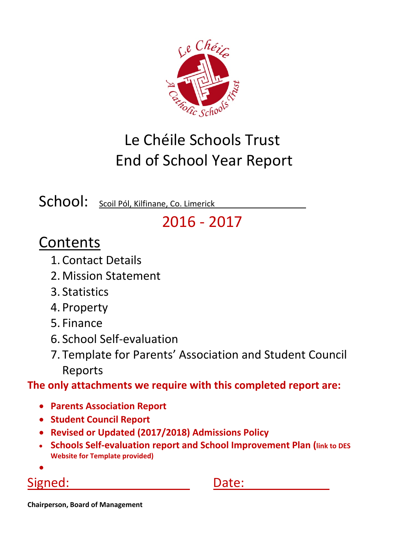

# Le Chéile Schools Trust End of School Year Report

School: Scoil Pól, Kilfinane, Co. Limerick

## 2016 ‐ 2017

## Contents

- 1. Contact Details
- 2. Mission Statement
- 3. Statistics
- 4. Property
- 5. Finance
- 6. School Self‐evaluation
- 7. Template for Parents' Association and Student Council Reports

**The only attachments we require with this completed report are:**

- **Parents Association Report**
- **Student Council Report**
- **Revised or Updated (2017/2018) Admissions Policy**
- **Schools Self‐evaluation report and School Improvement Plan (link to DES Website for Template provided)**
- $\bullet$

## Signed: Signed: **Date:**

**Chairperson, Board of Management**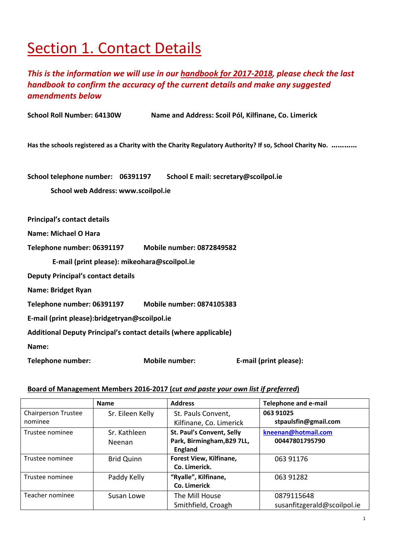## Section 1. Contact Details

## *This is the information we will use in our handbook for 2017‐2018, please check the last handbook to confirm the accuracy of the current details and make any suggested amendments below*

**School Roll Number: 64130W Name and Address: Scoil Pól, Kilfinane, Co. Limerick** 

Has the schools registered as a Charity with the Charity Regulatory Authority? If so, School Charity No. ...........

**School telephone number: 06391197 School E mail: secretary@scoilpol.ie** 

**School web Address: www.scoilpol.ie**

**Principal's contact details**

**Name: Michael O Hara**

**Telephone number: 06391197 Mobile number: 0872849582** 

 **E‐mail (print please): mikeohara@scoilpol.ie**

**Deputy Principal's contact details**

**Name: Bridget Ryan**

**Telephone number: 06391197 Mobile number: 0874105383** 

**E‐mail (print please):bridgetryan@scoilpol.ie** 

**Additional Deputy Principal's contact details (where applicable)**

**Name:** 

**Telephone number: Mobile number: E‐mail (print please):** 

#### **Board of Management Members 2016‐2017 (***cut and paste your own list if preferred***)**

|                     | <b>Name</b>       | <b>Address</b>             | <b>Telephone and e-mail</b> |
|---------------------|-------------------|----------------------------|-----------------------------|
| Chairperson Trustee | Sr. Eileen Kelly  | St. Pauls Convent,         | 063 91025                   |
| nominee             |                   | Kilfinane, Co. Limerick    | stpaulsfin@gmail.com        |
| Trustee nominee     | Sr. Kathleen      | St. Paul's Convent, Selly  | kneenan@hotmail.com         |
|                     | Neenan            | Park, Birmingham, B29 7LL, | 00447801795790              |
|                     |                   | England                    |                             |
| Trustee nominee     | <b>Brid Quinn</b> | Forest View, Kilfinane,    | 063 91176                   |
|                     |                   | Co. Limerick.              |                             |
| Trustee nominee     | Paddy Kelly       | "Ryalle", Kilfinane,       | 063 91282                   |
|                     |                   | Co. Limerick               |                             |
| Teacher nominee     | Susan Lowe        | The Mill House             | 0879115648                  |
|                     |                   | Smithfield, Croagh         | susanfitzgerald@scoilpol.ie |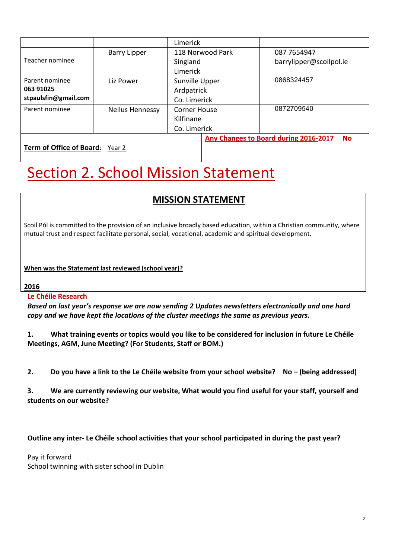|                                 |                        | <b>Limerick</b>  |                                                           |
|---------------------------------|------------------------|------------------|-----------------------------------------------------------|
|                                 | <b>Barry Lipper</b>    | 118 Norwood Park | 087 7654947                                               |
| Teacher nominee                 |                        | Singland         | barrylipper@scoilpol.ie                                   |
|                                 |                        | Limerick         |                                                           |
| Parent nominee                  | Liz Power              | Sunville Upper   | 0868324457                                                |
| 063 91025                       |                        | Ardpatrick       |                                                           |
| stpaulsfin@gmail.com            |                        | Co. Limerick     |                                                           |
| Parent nominee                  | <b>Neilus Hennessy</b> | Corner House     | 0872709540                                                |
|                                 |                        | Kilfinane        |                                                           |
|                                 |                        | Co. Limerick     |                                                           |
|                                 |                        |                  | <b>Any Changes to Board during 2016-2017</b><br><b>No</b> |
| <b>Term of Office of Board:</b> | Year 2                 |                  |                                                           |

# **Section 2. School Mission Statement**

## **MISSION STATEMENT**

Scoil Pól is committed to the provision of an inclusive broadly based education, within a Christian community, where mutual trust and respect facilitate personal, social, vocational, academic and spiritual development.

**When was the Statement last reviewed (school year)?**

#### **2016**

### **Le Chéile Research**

*Based on last year's response we are now sending 2 Updates newsletters electronically and one hard copy and we have kept the locations of the cluster meetings the same as previous years.*

1. What training events or topics would you like to be considered for inclusion in future Le Chéile **Meetings, AGM, June Meeting? (For Students, Staff or BOM.)**

2. Do you have a link to the Le Chéile website from your school website? No - (being addressed)

**3. We are currently reviewing our website, What would you find useful for your staff, yourself and students on our website?**

### Outline any inter- Le Chéile school activities that your school participated in during the past year?

Pay it forward School twinning with sister school in Dublin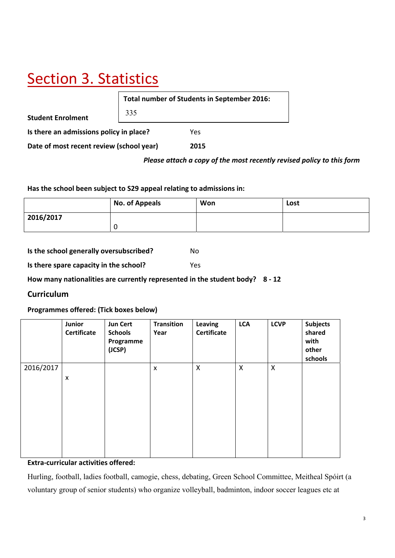# Section 3. Statistics

**Student Enrolment Is there an admissions policy in place?** Yes **Date of most recent review (school year) 2015 Total number of Students in September 2016:** 335

#### *Please attach a copy of the most recently revised policy to this form*

**Has the school been subject to S29 appeal relating to admissions in:**

|           | No. of Appeals | Won | Lost |
|-----------|----------------|-----|------|
| 2016/2017 |                |     |      |
|           | υ              |     |      |

**Is the school generally oversubscribed?** No **Is there spare capacity in the school?** Yes

**How many nationalities are currently represented in the student body? 8 ‐ 12**

### **Curriculum**

**Programmes offered: (Tick boxes below)**

|           | Junior<br>Certificate | <b>Jun Cert</b><br><b>Schools</b><br>Programme<br>(JCSP) | <b>Transition</b><br>Year | Leaving<br><b>Certificate</b> | <b>LCA</b>                | <b>LCVP</b>               | <b>Subjects</b><br>shared<br>with<br>other<br>schools |
|-----------|-----------------------|----------------------------------------------------------|---------------------------|-------------------------------|---------------------------|---------------------------|-------------------------------------------------------|
| 2016/2017 | X                     |                                                          | X                         | $\mathsf{X}$                  | $\boldsymbol{\mathsf{X}}$ | $\boldsymbol{\mathsf{X}}$ |                                                       |

### **Extra‐curricular activities offered:**

Hurling, football, ladies football, camogie, chess, debating, Green School Committee, Meitheal Spóirt (a voluntary group of senior students) who organize volleyball, badminton, indoor soccer leagues etc at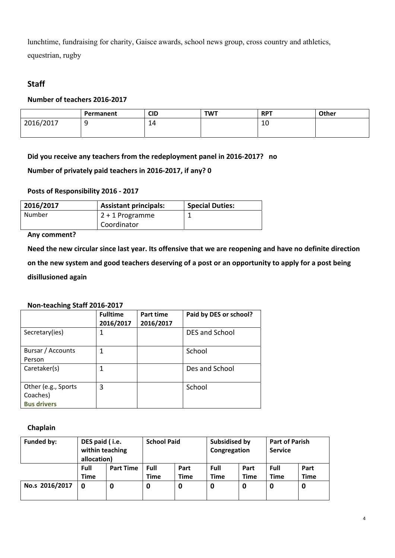lunchtime, fundraising for charity, Gaisce awards, school news group, cross country and athletics, equestrian, rugby

## **Staff**

#### **Number of teachers 2016‐2017**

|           | Permanent | <b>CID</b> | <b>TWT</b> | <b>RPT</b> | Other |
|-----------|-----------|------------|------------|------------|-------|
| 2016/2017 | -         | 14         |            | 10         |       |
|           |           |            |            |            |       |

**Did you receive any teachers from the redeployment panel in 2016‐2017? no**

**Number of privately paid teachers in 2016‐2017, if any? 0**

#### **Posts of Responsibility 2016 ‐ 2017**

| 2016/2017 | <b>Assistant principals:</b> | <b>Special Duties:</b> |
|-----------|------------------------------|------------------------|
| Number    | $2 + 1$ Programme            |                        |
|           | Coordinator                  |                        |

#### **Any comment?**

Need the new circular since last year. Its offensive that we are reopening and have no definite direction

on the new system and good teachers deserving of a post or an opportunity to apply for a post being

**disillusioned again** 

#### **Non‐teaching Staff 2016‐2017**

|                                                       | <b>Fulltime</b><br>2016/2017 | Part time<br>2016/2017 | Paid by DES or school? |
|-------------------------------------------------------|------------------------------|------------------------|------------------------|
| Secretary(ies)                                        |                              |                        | <b>DES and School</b>  |
| Bursar / Accounts<br>Person                           |                              |                        | School                 |
| Caretaker(s)                                          |                              |                        | Des and School         |
| Other (e.g., Sports<br>Coaches)<br><b>Bus drivers</b> | 3                            |                        | School                 |

#### **Chaplain**

| <b>Funded by:</b> | DES paid (i.e.<br>within teaching<br>allocation) |                  | <b>School Paid</b> |                     | Subsidised by<br>Congregation |              | <b>Part of Parish</b><br><b>Service</b> |                     |
|-------------------|--------------------------------------------------|------------------|--------------------|---------------------|-------------------------------|--------------|-----------------------------------------|---------------------|
|                   | Full<br><b>Time</b>                              | <b>Part Time</b> | Full<br>Time       | Part<br><b>Time</b> | Full<br><b>Time</b>           | Part<br>Time | Full<br><b>Time</b>                     | Part<br><b>Time</b> |
| No.s 2016/2017    | 0                                                | 0                | 0                  | 0                   | 0                             | 0            | O                                       | 0                   |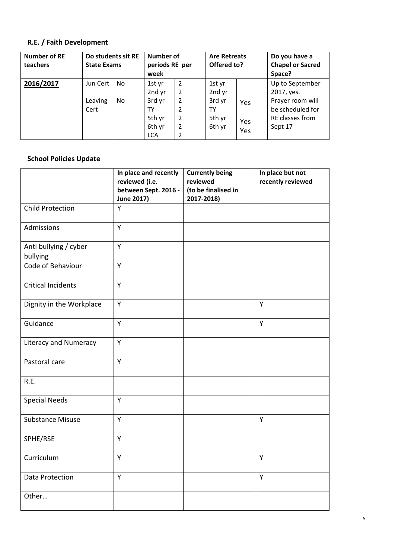### **R.E. / Faith Development**

| <b>Number of RE</b><br>teachers | Do students sit RE<br><b>State Exams</b> |           | Number of<br>periods RE per<br>week                                |                                                           | <b>Are Retreats</b><br>Offered to?                   |                   | Do you have a<br><b>Chapel or Sacred</b><br>Space?                                                  |
|---------------------------------|------------------------------------------|-----------|--------------------------------------------------------------------|-----------------------------------------------------------|------------------------------------------------------|-------------------|-----------------------------------------------------------------------------------------------------|
| 2016/2017                       | Jun Cert<br>Leaving<br>Cert              | No.<br>No | 1st yr<br>2nd yr<br>3rd yr<br>TY<br>5th yr<br>6th yr<br><b>LCA</b> | $\overline{2}$<br>2<br>$\overline{2}$<br>2<br>2<br>2<br>2 | 1st yr<br>2nd yr<br>3rd yr<br>TY<br>5th yr<br>6th yr | Yes<br>Yes<br>Yes | Up to September<br>2017, yes.<br>Prayer room will<br>be scheduled for<br>RE classes from<br>Sept 17 |

### **School Policies Update**

|                                   | In place and recently<br>reviewed (i.e.<br>between Sept. 2016 -<br><b>June 2017)</b> | <b>Currently being</b><br>reviewed<br>(to be finalised in<br>2017-2018) | In place but not<br>recently reviewed |
|-----------------------------------|--------------------------------------------------------------------------------------|-------------------------------------------------------------------------|---------------------------------------|
| <b>Child Protection</b>           | Y                                                                                    |                                                                         |                                       |
| Admissions                        | Y                                                                                    |                                                                         |                                       |
| Anti bullying / cyber<br>bullying | Y                                                                                    |                                                                         |                                       |
| Code of Behaviour                 | Y                                                                                    |                                                                         |                                       |
| <b>Critical Incidents</b>         | Y                                                                                    |                                                                         |                                       |
| Dignity in the Workplace          | Υ                                                                                    |                                                                         | Y                                     |
| Guidance                          | Υ                                                                                    |                                                                         | Υ                                     |
| <b>Literacy and Numeracy</b>      | Υ                                                                                    |                                                                         |                                       |
| Pastoral care                     | Y                                                                                    |                                                                         |                                       |
| R.E.                              |                                                                                      |                                                                         |                                       |
| <b>Special Needs</b>              | Y                                                                                    |                                                                         |                                       |
| <b>Substance Misuse</b>           | Y                                                                                    |                                                                         | Y                                     |
| SPHE/RSE                          | Y                                                                                    |                                                                         |                                       |
| Curriculum                        | Υ                                                                                    |                                                                         | Y                                     |
| <b>Data Protection</b>            | Y                                                                                    |                                                                         | Υ                                     |
| Other                             |                                                                                      |                                                                         |                                       |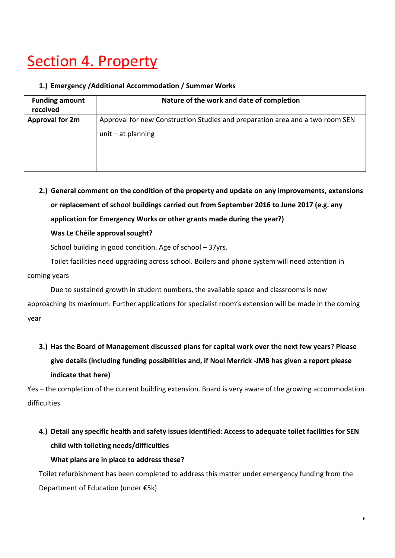# Section 4. Property

#### **1.) Emergency /Additional Accommodation / Summer Works**

| <b>Funding amount</b><br>received | Nature of the work and date of completion                                                             |
|-----------------------------------|-------------------------------------------------------------------------------------------------------|
| <b>Approval for 2m</b>            | Approval for new Construction Studies and preparation area and a two room SEN<br>unit $-$ at planning |

**2.) General comment on the condition of the property and update on any improvements, extensions or replacement of school buildings carried out from September 2016 to June 2017 (e.g. any application for Emergency Works or other grants made during the year?)** 

**Was Le Chéile approval sought?**

School building in good condition. Age of school – 37yrs.

Toilet facilities need upgrading across school. Boilers and phone system will need attention in coming years

Due to sustained growth in student numbers, the available space and classrooms is now approaching its maximum. Further applications for specialist room's extension will be made in the coming year

**3.) Has the Board of Management discussed plans for capital work over the next few years? Please give details (including funding possibilities and, if Noel Merrick ‐JMB has given a report please indicate that here)**

Yes – the completion of the current building extension. Board is very aware of the growing accommodation difficulties

## **4.) Detail any specific health and safety issues identified: Access to adequate toilet facilities for SEN child with toileting needs/difficulties**

### **What plans are in place to address these?**

Toilet refurbishment has been completed to address this matter under emergency funding from the Department of Education (under €5k)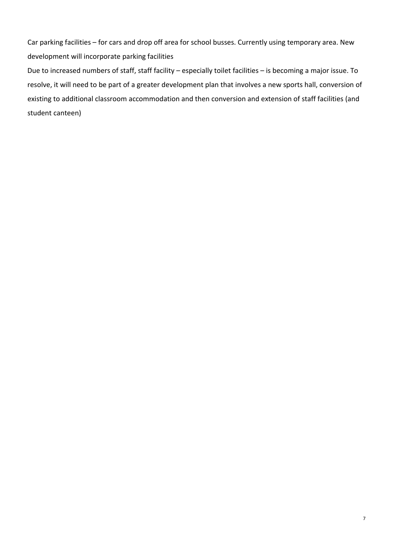Car parking facilities – for cars and drop off area for school busses. Currently using temporary area. New development will incorporate parking facilities

Due to increased numbers of staff, staff facility – especially toilet facilities – is becoming a major issue. To resolve, it will need to be part of a greater development plan that involves a new sports hall, conversion of existing to additional classroom accommodation and then conversion and extension of staff facilities (and student canteen)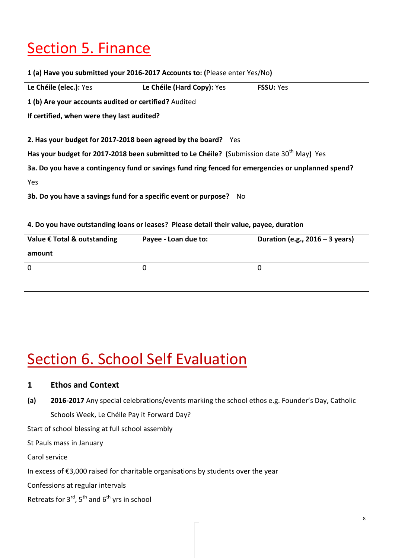# Section 5. Finance

**1 (a) Have you submitted your 2016‐2017 Accounts to: (**Please enter Yes/No**)**

| Le Chéile (elec.): Yes | Le Chéile (Hard Copy): Yes | <b>FSSU: Yes</b> |
|------------------------|----------------------------|------------------|

**1 (b) Are your accounts audited or certified?** Audited

**If certified, when were they last audited?** 

**2. Has your budget for 2017‐2018 been agreed by the board?** Yes

**Has your budget for 2017‐2018 been submitted to Le Chéile? (**Submission date 30th May**)** Yes

**3a. Do you have a contingency fund or savings fund ring fenced for emergencies or unplanned spend?**

 $Yes$ 

**3b. Do you have a savings fund for a specific event or purpose?** No

### **4. Do you have outstanding loans or leases? Please detail their value, payee, duration**

| Value € Total & outstanding | Payee - Loan due to: | Duration (e.g., $2016 - 3$ years) |  |
|-----------------------------|----------------------|-----------------------------------|--|
| amount                      |                      |                                   |  |
| $\mathbf 0$                 | 0                    |                                   |  |
|                             |                      |                                   |  |
|                             |                      |                                   |  |
|                             |                      |                                   |  |

## **Section 6. School Self Evaluation**

## **1 Ethos and Context**

**(a) 2016‐2017** Any special celebrations/events marking the school ethos e.g. Founder's Day, Catholic Schools Week, Le Chéile Pay it Forward Day?

Start of school blessing at full school assembly

St Pauls mass in January

Carol service

In excess of €3,000 raised for charitable organisations by students over the year

Confessions at regular intervals

Retreats for  $3^{rd}$ ,  $5^{th}$  and  $6^{th}$  yrs in school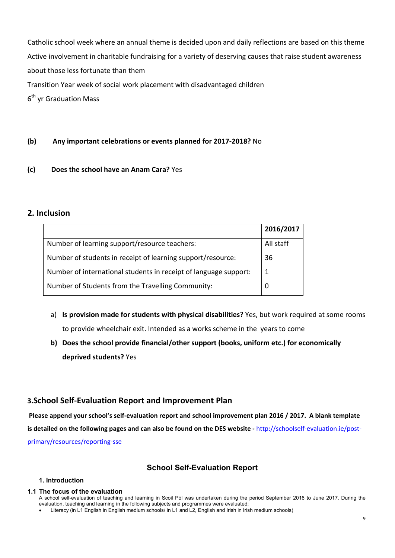Catholic school week where an annual theme is decided upon and daily reflections are based on this theme Active involvement in charitable fundraising for a variety of deserving causes that raise student awareness about those less fortunate than them Transition Year week of social work placement with disadvantaged children

6<sup>th</sup> vr Graduation Mass

#### **(b) Any important celebrations or events planned for 2017‐2018?** No

#### **(c) Does the school have an Anam Cara?** Yes

### **2. Inclusion**

|                                                                  | 2016/2017    |
|------------------------------------------------------------------|--------------|
| Number of learning support/resource teachers:                    | All staff    |
| Number of students in receipt of learning support/resource:      | 36           |
| Number of international students in receipt of language support: | $\mathbf{1}$ |
| Number of Students from the Travelling Community:                |              |

- a) **Is provision made for students with physical disabilities?** Yes, but work required at some rooms to provide wheelchair exit. Intended as a works scheme in the years to come
- **b) Does the school provide financial/other support (books, uniform etc.) for economically deprived students?** Yes

### **3.School Self‐Evaluation Report and Improvement Plan**

Please append your school's self-evaluation report and school improvement plan 2016 / 2017. A blank template is detailed on the following pages and can also be found on the DES website - http://schoolself-evaluation.ie/postprimary/resources/reporting‐sse

## **School Self-Evaluation Report**

#### **1. Introduction**

#### **1.1 The focus of the evaluation**

A school self-evaluation of teaching and learning in Scoil Pól was undertaken during the period September 2016 to June 2017. During the evaluation, teaching and learning in the following subjects and programmes were evaluated:

Literacy (in L1 English in English medium schools/ in L1 and L2, English and Irish in Irish medium schools)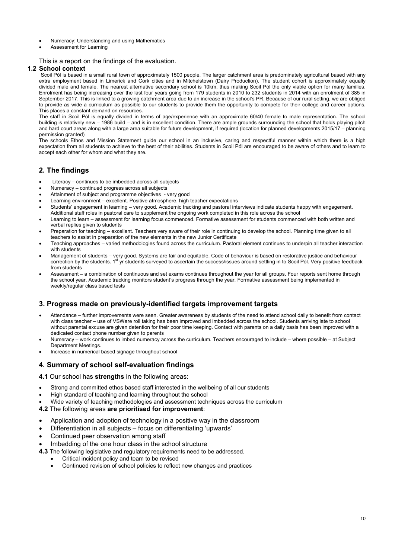- Numeracy: Understanding and using Mathematics
- Assessment for Learning

#### This is a report on the findings of the evaluation.

#### **1.2 School context**

Scoil Pól is based in a small rural town of approximately 1500 people. The larger catchment area is predominately agricultural based with any extra employment based in Limerick and Cork cities and in Mitchelstown (Dairy Production). The student cohort is approximately equally divided male and female. The nearest alternative secondary school is 10km, thus making Scoil Pól the only viable option for many families. Enrolment has being increasing over the last four years going from 179 students in 2010 to 232 students in 2014 with an enrolment of 385 in September 2017. This is linked to a growing catchment area due to an increase in the school's PR. Because of our rural setting, we are obliged to provide as wide a curriculum as possible to our students to provide them the opportunity to compete for their college and career options. This places a constant demand on resources.

The staff in Scoil Pól is equally divided in terms of age/experience with an approximate 60/40 female to male representation. The school building is relatively new – 1986 build – and is in excellent condition. There are ample grounds surrounding the school that holds playing pitch and hard court areas along with a large area suitable for future development, if required (location for planned developments 2015/17 – planning permission granted)

The schools Ethos and Mission Statement guide our school in an inclusive, caring and respectful manner within which there is a high expectation from all students to achieve to the best of their abilities. Students in Scoil Pól are encouraged to be aware of others and to learn to accept each other for whom and what they are.

#### **2. The findings**

- Literacy continues to be imbedded across all subjects
- Numeracy continued progress across all subjects
- Attainment of subject and programme objectives very good
- Learning environment excellent. Positive atmosphere, high teacher expectations
- Students' engagement in learning very good. Academic tracking and pastoral interviews indicate students happy with engagement.
- Additional staff roles in pastoral care to supplement the ongoing work completed in this role across the school Learning to learn – assessment for learning focus commenced. Formative assessment for students commenced with both written and
- verbal replies given to students Preparation for teaching – excellent. Teachers very aware of their role in continuing to develop the school. Planning time given to all
- teachers to assist in preparation of the new elements in the new Junior Certificate
- Teaching approaches varied methodologies found across the curriculum. Pastoral element continues to underpin all teacher interaction with students
- Management of students very good. Systems are fair and equitable. Code of behaviour is based on restorative justice and behaviour correction by the students. 1st yr students surveyed to ascertain the success/issues around settling in to Scoil Pol. Very positive feedback from students
- Assessment a combination of continuous and set exams continues throughout the year for all groups. Four reports sent home through the school year. Academic tracking monitors student's progress through the year. Formative assessment being implemented in weekly/regular class based tests

#### **3. Progress made on previously-identified targets improvement targets**

- Attendance further improvements were seen. Greater awareness by students of the need to attend school daily to benefit from contact with class teacher – use of VSWare roll taking has been improved and imbedded across the school. Students arriving late to school without parental excuse are given detention for their poor time keeping. Contact with parents on a daily basis has been improved with a dedicated contact phone number given to parents
- Numeracy work continues to imbed numeracy across the curriculum. Teachers encouraged to include where possible at Subject Department Meetings.
- Increase in numerical based signage throughout school

#### **4. Summary of school self-evaluation findings**

**4.1** Our school has **strengths** in the following areas:

- Strong and committed ethos based staff interested in the wellbeing of all our students
- High standard of teaching and learning throughout the school
- Wide variety of teaching methodologies and assessment techniques across the curriculum
- **4.2** The following areas **are prioritised for improvement**:
- Application and adoption of technology in a positive way in the classroom
- Differentiation in all subjects focus on differentiating 'upwards'
- Continued peer observation among staff
- Imbedding of the one hour class in the school structure
- **4.3** The following legislative and regulatory requirements need to be addressed.
	- Critical incident policy and team to be revised
		- Continued revision of school policies to reflect new changes and practices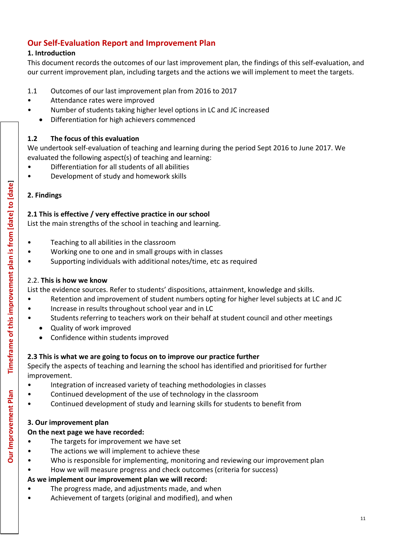## **Our Self‐Evaluation Report and Improvement Plan**

## **1. Introduction**

This document records the outcomes of our last improvement plan, the findings of this self‐evaluation, and our current improvement plan, including targets and the actions we will implement to meet the targets.

- 1.1 Outcomes of our last improvement plan from 2016 to 2017
- Attendance rates were improved
- Number of students taking higher level options in LC and JC increased
	- Differentiation for high achievers commenced

## **1.2 The focus of this evaluation**

We undertook self-evaluation of teaching and learning during the period Sept 2016 to June 2017. We evaluated the following aspect(s) of teaching and learning:

- Differentiation for all students of all abilities
- Development of study and homework skills

## **2. Findings**

## **2.1 This is effective / very effective practice in our school**

List the main strengths of the school in teaching and learning.

- Teaching to all abilities in the classroom
- Working one to one and in small groups with in classes
- Supporting individuals with additional notes/time, etc as required

## 2.2. **This is how we know**

List the evidence sources. Refer to students' dispositions, attainment, knowledge and skills.

- Retention and improvement of student numbers opting for higher level subjects at LC and JC • Increase in results throughout school year and in LC
- Students referring to teachers work on their behalf at student council and other meetings
	- Quality of work improved
	- Confidence within students improved

## **2.3 This is what we are going to focus on to improve our practice further**

Specify the aspects of teaching and learning the school has identified and prioritised for further improvement.

- Integration of increased variety of teaching methodologies in classes
	- Continued development of the use of technology in the classroom
- Continued development of study and learning skills for students to benefit from

## **3. Our improvement plan**

## **On the next page we have recorded:**

- The targets for improvement we have set
- The actions we will implement to achieve these
- Who is responsible for implementing, monitoring and reviewing our improvement plan
- How we will measure progress and check outcomes (criteria for success)

## **As we implement our improvement plan we will record:**

- The progress made, and adjustments made, and when
- Achievement of targets (original and modified), and when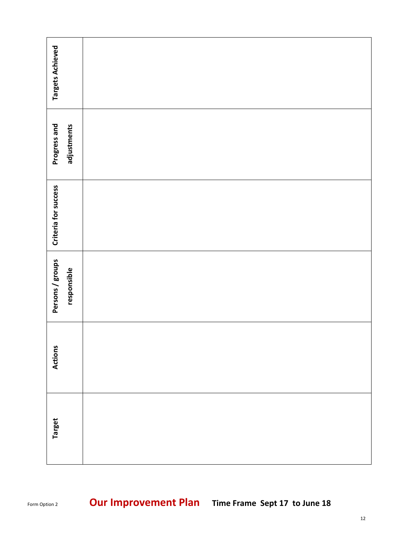| <b>Targets Achieved</b>         |  |
|---------------------------------|--|
| Progress and<br>adjustments     |  |
| Criteria for success            |  |
| Persons / groups<br>responsible |  |
| <b>Actions</b>                  |  |
| <b>Target</b>                   |  |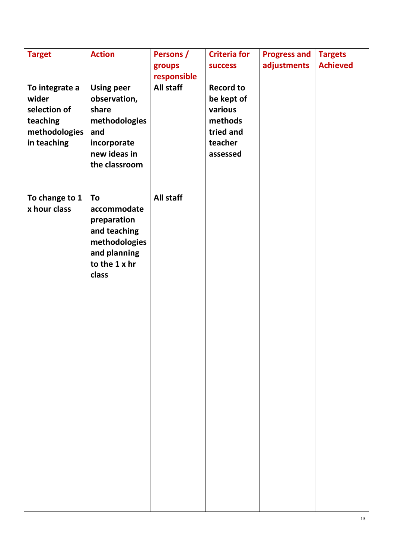| <b>Target</b>                                                                       | <b>Action</b>                                                                                                      | Persons /<br>groups      | <b>Criteria for</b><br><b>SUCCESS</b>                                                    | <b>Progress and</b><br>adjustments | <b>Targets</b><br><b>Achieved</b> |
|-------------------------------------------------------------------------------------|--------------------------------------------------------------------------------------------------------------------|--------------------------|------------------------------------------------------------------------------------------|------------------------------------|-----------------------------------|
| To integrate a<br>wider<br>selection of<br>teaching<br>methodologies<br>in teaching | <b>Using peer</b><br>observation,<br>share<br>methodologies<br>and<br>incorporate<br>new ideas in<br>the classroom | responsible<br>All staff | <b>Record to</b><br>be kept of<br>various<br>methods<br>tried and<br>teacher<br>assessed |                                    |                                   |
| To change to 1<br>x hour class                                                      | To<br>accommodate<br>preparation<br>and teaching<br>methodologies<br>and planning<br>to the 1 x hr<br>class        | <b>All staff</b>         |                                                                                          |                                    |                                   |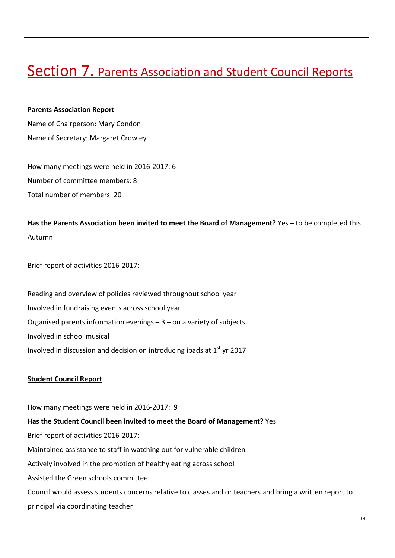## Section 7. Parents Association and Student Council Reports

#### **Parents Association Report**

Name of Chairperson: Mary Condon Name of Secretary: Margaret Crowley

How many meetings were held in 2016‐2017: 6 Number of committee members: 8 Total number of members: 20

**Has the Parents Association been invited to meet the Board of Management?** Yes – to be completed this Autumn

Brief report of activities 2016‐2017:

Reading and overview of policies reviewed throughout school year Involved in fundraising events across school year Organised parents information evenings  $-3$  – on a variety of subjects Involved in school musical Involved in discussion and decision on introducing ipads at  $1<sup>st</sup>$  yr 2017

#### **Student Council Report**

How many meetings were held in 2016‐2017: 9

**Has the Student Council been invited to meet the Board of Management?** Yes Brief report of activities 2016‐2017: Maintained assistance to staff in watching out for vulnerable children Actively involved in the promotion of healthy eating across school Assisted the Green schools committee Council would assess students concerns relative to classes and or teachers and bring a written report to principal via coordinating teacher